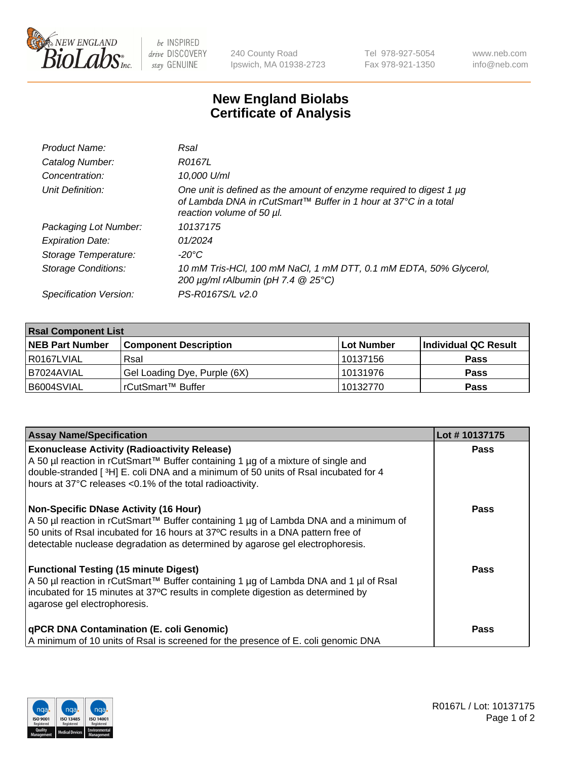

 $be$  INSPIRED drive DISCOVERY stay GENUINE

240 County Road Ipswich, MA 01938-2723 Tel 978-927-5054 Fax 978-921-1350 www.neb.com info@neb.com

## **New England Biolabs Certificate of Analysis**

| Product Name:              | Rsal                                                                                                                                                                |
|----------------------------|---------------------------------------------------------------------------------------------------------------------------------------------------------------------|
| Catalog Number:            | R0167L                                                                                                                                                              |
| Concentration:             | 10,000 U/ml                                                                                                                                                         |
| Unit Definition:           | One unit is defined as the amount of enzyme required to digest 1 µg<br>of Lambda DNA in rCutSmart™ Buffer in 1 hour at 37°C in a total<br>reaction volume of 50 µl. |
| Packaging Lot Number:      | 10137175                                                                                                                                                            |
| <b>Expiration Date:</b>    | 01/2024                                                                                                                                                             |
| Storage Temperature:       | -20°C                                                                                                                                                               |
| <b>Storage Conditions:</b> | 10 mM Tris-HCl, 100 mM NaCl, 1 mM DTT, 0.1 mM EDTA, 50% Glycerol,<br>200 $\mu$ g/ml rAlbumin (pH 7.4 $@$ 25°C)                                                      |
| Specification Version:     | PS-R0167S/L v2.0                                                                                                                                                    |

| <b>Rsal Component List</b> |                              |            |                      |  |  |
|----------------------------|------------------------------|------------|----------------------|--|--|
| <b>NEB Part Number</b>     | <b>Component Description</b> | Lot Number | Individual QC Result |  |  |
| R0167LVIAL                 | Rsal                         | 10137156   | <b>Pass</b>          |  |  |
| B7024AVIAL                 | Gel Loading Dye, Purple (6X) | 10131976   | <b>Pass</b>          |  |  |
| B6004SVIAL                 | rCutSmart™ Buffer            | 10132770   | <b>Pass</b>          |  |  |

| <b>Assay Name/Specification</b>                                                                                                                                                                                               | Lot #10137175 |
|-------------------------------------------------------------------------------------------------------------------------------------------------------------------------------------------------------------------------------|---------------|
| <b>Exonuclease Activity (Radioactivity Release)</b><br>A 50 µl reaction in rCutSmart™ Buffer containing 1 µg of a mixture of single and<br>double-stranded [3H] E. coli DNA and a minimum of 50 units of Rsal incubated for 4 | <b>Pass</b>   |
| hours at 37°C releases <0.1% of the total radioactivity.                                                                                                                                                                      |               |
| <b>Non-Specific DNase Activity (16 Hour)</b><br>A 50 µl reaction in rCutSmart™ Buffer containing 1 µg of Lambda DNA and a minimum of                                                                                          | <b>Pass</b>   |
| 50 units of Rsal incubated for 16 hours at 37°C results in a DNA pattern free of<br>detectable nuclease degradation as determined by agarose gel electrophoresis.                                                             |               |
| <b>Functional Testing (15 minute Digest)</b>                                                                                                                                                                                  | Pass          |
| A 50 µl reaction in rCutSmart™ Buffer containing 1 µg of Lambda DNA and 1 µl of Rsal<br>incubated for 15 minutes at 37°C results in complete digestion as determined by<br>agarose gel electrophoresis.                       |               |
| qPCR DNA Contamination (E. coli Genomic)                                                                                                                                                                                      | Pass          |
| A minimum of 10 units of Rsal is screened for the presence of E. coli genomic DNA                                                                                                                                             |               |